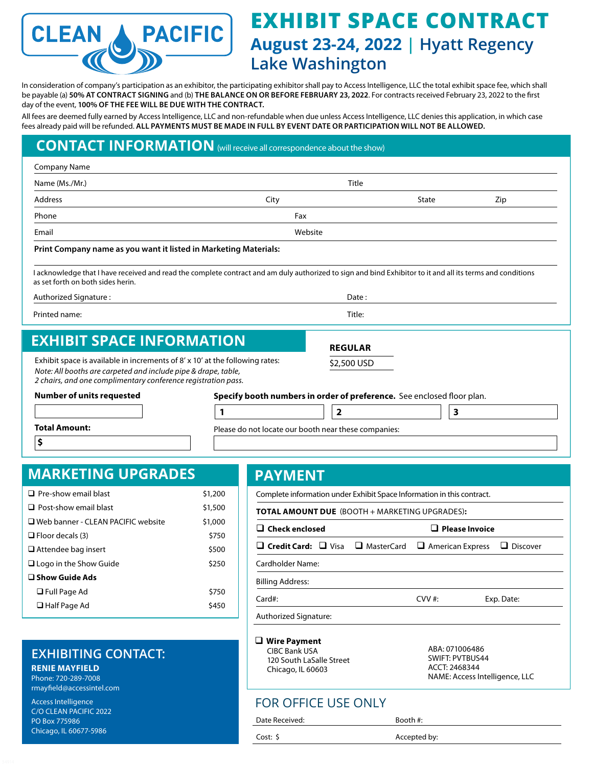# **PACIFIC** CLEAN

## **EXHIBIT SPACE CONTRACT August 23-24, 2022 | Hyatt Regency Lake Washington**

In consideration of company's participation as an exhibitor, the participating exhibitor shall pay to Access Intelligence, LLC the total exhibit space fee, which shall be payable (a) **50% AT CONTRACT SIGNING** and (b) **THE BALANCE ON OR BEFORE FEBRUARY 23, 2022**. For contracts received February 23, 2022 to the first day of the event, **100% OF THE FEE WILL BE DUE WITH THE CONTRACT.**

All fees are deemed fully earned by Access Intelligence, LLC and non-refundable when due unless Access Intelligence, LLC denies this application, in which case fees already paid will be refunded. **ALL PAYMENTS MUST BE MADE IN FULL BY EVENT DATE OR PARTICIPATION WILL NOT BE ALLOWED.**

### **CONTACT INFORMATION** (will receive all correspondence about the show)

| Name (Ms./Mr.) | Title   |       |     |
|----------------|---------|-------|-----|
| Address        | City    | State | Zip |
| Phone          | Fax     |       |     |
| Email          | Website |       |     |

I acknowledge that I have received and read the complete contract and am duly authorized to sign and bind Exhibitor to it and all its terms and conditions as set forth on both sides herin.

| Authorized Signature: |  |
|-----------------------|--|
|                       |  |

Printed name: Title:

### **EXHIBIT SPACE INFORMATION**

Exhibit space is available in increments of 8' x 10' at the following rates: *Note: All booths are carpeted and include pipe & drape, table, 2 chairs, and one complimentary conference registration pass.*

**Number of units requested**

**Specify booth numbers in order of preference.** See enclosed floor plan.

**REGULAR** \$2,500 USD

1  $\vert$  2  $\vert$  3

**Total Amount:**

**\$**

Please do not locate our booth near these companies:

#### **MARKETING UPGRADES**

| $\Box$ Pre-show email blast                  | \$1,200 |
|----------------------------------------------|---------|
| $\Box$ Post-show email blast                 | \$1,500 |
| $\square$ Web banner - CLEAN PACIFIC website | \$1,000 |
| $\Box$ Floor decals (3)                      | \$750   |
| $\Box$ Attendee bag insert                   | \$500   |
| $\Box$ Logo in the Show Guide                | \$250   |
| $\square$ Show Guide Ads                     |         |
| $\Box$ Full Page Ad                          | \$750   |
| $\Box$ Half Page Ad                          | S450    |
|                                              |         |

# **PAYMENT**

| Complete information under Exhibit Space Information in this contract.                       |                                                                                             |  |  |  |  |
|----------------------------------------------------------------------------------------------|---------------------------------------------------------------------------------------------|--|--|--|--|
| <b>TOTAL AMOUNT DUE</b> (BOOTH + MARKETING UPGRADES):                                        |                                                                                             |  |  |  |  |
| $\Box$ Check enclosed                                                                        | <b>Please Invoice</b>                                                                       |  |  |  |  |
| $\Box$ Credit Card: $\Box$ Visa $\Box$ MasterCard $\Box$ American Express                    | $\Box$ Discover                                                                             |  |  |  |  |
| Cardholder Name:                                                                             |                                                                                             |  |  |  |  |
| Billing Address:                                                                             |                                                                                             |  |  |  |  |
| $Card#$ :                                                                                    | $CVV$ #:<br>Exp. Date:                                                                      |  |  |  |  |
| Authorized Signature:                                                                        |                                                                                             |  |  |  |  |
| $\Box$ Wire Payment<br><b>CIBC Bank USA</b><br>120 South LaSalle Street<br>Chicago, IL 60603 | ABA: 071006486<br><b>SWIFT: PVTBUS44</b><br>ACCT: 2468344<br>NAME: Access Intelligence, LLC |  |  |  |  |

### **EXHIBITING CONTACT:**

**RENIE MAYFIELD** Phone: 720-289-7008 rmayfield@accessintel.com

Access Intelligence C/O CLEAN PACIFIC 2022 PO Box 775986 Chicago, IL 60677-5986

Date Received: Booth #: Cost: \$ Accepted by:

FOR OFFICE USE ONLY